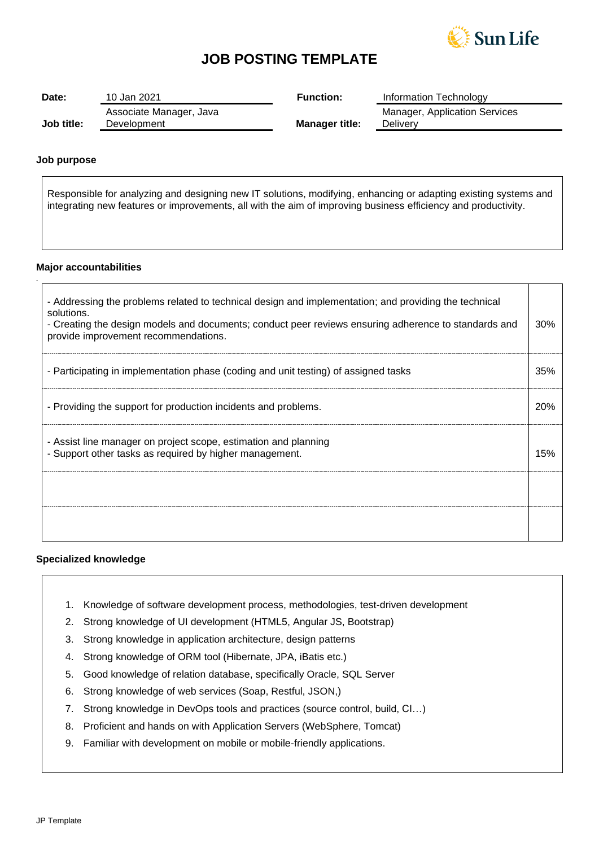

# **JOB POSTING TEMPLATE**

| Date:      | 10 Jan 2021                            | <b>Function:</b>      | Information Technology                           |
|------------|----------------------------------------|-----------------------|--------------------------------------------------|
| Job title: | Associate Manager, Java<br>Development | <b>Manager title:</b> | <b>Manager, Application Services</b><br>Deliverv |

## **Job purpose**

*.*

Responsible for analyzing and designing new IT solutions, modifying, enhancing or adapting existing systems and integrating new features or improvements, all with the aim of improving business efficiency and productivity.

### **Major accountabilities**

| - Addressing the problems related to technical design and implementation; and providing the technical<br>solutions.<br>- Creating the design models and documents; conduct peer reviews ensuring adherence to standards and<br>provide improvement recommendations. | 30% |
|---------------------------------------------------------------------------------------------------------------------------------------------------------------------------------------------------------------------------------------------------------------------|-----|
| - Participating in implementation phase (coding and unit testing) of assigned tasks                                                                                                                                                                                 | 35% |
| - Providing the support for production incidents and problems.                                                                                                                                                                                                      | 20% |
| - Assist line manager on project scope, estimation and planning<br>- Support other tasks as required by higher management.                                                                                                                                          | 15% |
|                                                                                                                                                                                                                                                                     |     |
|                                                                                                                                                                                                                                                                     |     |

### **Specialized knowledge**

- 1. Knowledge of software development process, methodologies, test-driven development
- 2. Strong knowledge of UI development (HTML5, Angular JS, Bootstrap)
- 3. Strong knowledge in application architecture, design patterns
- 4. Strong knowledge of ORM tool (Hibernate, JPA, iBatis etc.)
- 5. Good knowledge of relation database, specifically Oracle, SQL Server
- 6. Strong knowledge of web services (Soap, Restful, JSON,)
- 7. Strong knowledge in DevOps tools and practices (source control, build, CI…)
- 8. Proficient and hands on with Application Servers (WebSphere, Tomcat)
- 9. Familiar with development on mobile or mobile-friendly applications.